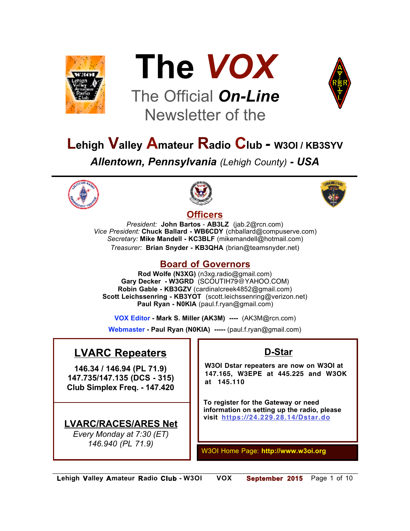



# The Official *On-Line* Newsletter of the



## **Lehigh Valley Amateur Radio Club** *-* **W3OI / KB3SYV** *Allentown, Pennsylvania (Lehigh County) - USA*





## **Officers**



*President:* **John Bartos** - **AB3LZ** (jab.2@rcn.com) *Vice President:* **Chuck Ballard - WB6CDY** (chballard@compuserve.com) *Secretary:* **Mike Mandell - KC3BLF** (mikemandell@hotmail.com) *Treasurer:* **Brian Snyder - KB3QHA** (brian@teamsnyder.net)

## **Board of Governors**

**Rod Wolfe (N3XG)** (n3xg.radio@gmail.com) **Gary Decker - W3GRD** (SCOUTIH79@YAHOO.COM) **Robin Gable - KB3GZV** (cardinalcreek4852@gmail.com) **Scott Leichssenring - KB3YOT** (scott.leichssenring@verizon.net) **Paul Ryan - N0KIA** (paul.f.ryan@gmail.com)

**VOX Editor - Mark S. Miller (AK3M) ----** (AK3M@rcn.com)

**Webmaster - Paul Ryan (N0KIA) -----** (paul.f.ryan@gmail.com)

## **LVARC Repeaters**

**146.34 / 146.94 (PL 71.9) 147.735/147.135 (DCS - 315) Club Simplex Freq. - 147.420**

## **LVARC/RACES/ARES Net**

*Every Monday at 7:30 (ET) 146.940 (PL 71.9)*

## **D-Star**

**W3OI Dstar repeaters are now on W3OI at 147.165, W3EPE at 445.225 and W3OK at 145.110**

**To register for the Gateway or need information on setting up the radio, please visit https://24.229.28.14/Dstar.do**

W3OI Home Page: **http://www.w3oi.org**

*\_\_\_\_\_\_\_\_\_\_\_\_\_\_\_\_\_\_\_\_\_\_\_\_\_\_\_\_\_\_\_\_\_\_\_\_\_\_\_\_\_\_\_\_\_\_\_\_\_\_\_\_\_\_\_\_\_\_\_\_\_\_\_\_\_\_\_\_\_\_\_\_\_\_\_\_\_\_\_\_\_\_\_\_\_\_\_\_\_\_\_*  **Lehigh Valley Amateur Radio Club - W3OI VOX September 2015** Page 1 of 10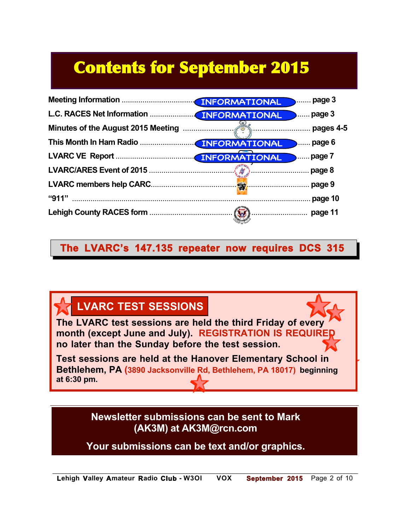# Contents for September 2015



## **The LVARC's 147.135 repeater now requires DCS 315**



**Newsletter submissions can be sent to Mark (AK3M) at AK3M@rcn.com**

**Your submissions can be text and/or graphics.**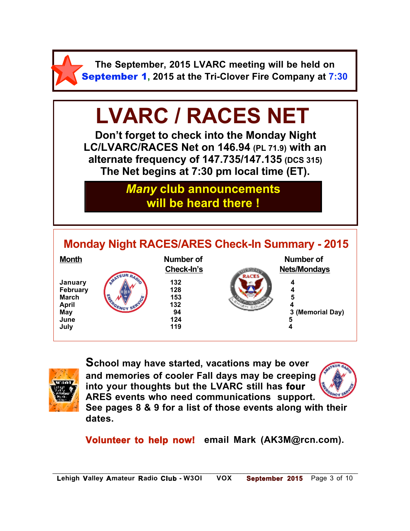

**The September, 2015 LVARC meeting will be held on** September 1**, 2015 at the Tri-Clover Fire Company at 7:30**

# **LVARC / RACES NET**

**Don't forget to check into the Monday Night LC/LVARC/RACES Net on 146.94 (PL 71.9) with an alternate frequency of 147.735/147.135 (DCS 315) The Net begins at 7:30 pm local time (ET).** 

## *Many* **club announcements will be heard there !**





**School may have started, vacations may be over and memories of cooler Fall days may be creeping into your thoughts but the LVARC still has four ARES events who need communications support.**



**See pages 8 & 9 for a list of those events along with their dates.**

**Volunteer to help now! email Mark (AK3M@rcn.com).**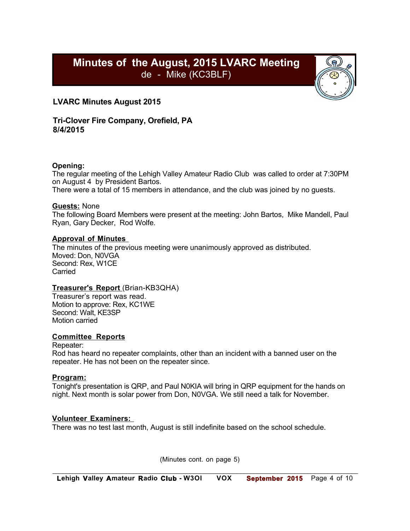## **Minutes of the August, 2015 LVARC Meeting** de - Mike (KC3BLF)



#### **LVARC Minutes August 2015**

**Tri-Clover Fire Company, Orefield, PA 8/4/2015** 

#### **Opening:**

The regular meeting of the Lehigh Valley Amateur Radio Club was called to order at 7:30PM on August 4 by President Bartos.

There were a total of 15 members in attendance, and the club was joined by no guests.

#### **Guests:** None

The following Board Members were present at the meeting: John Bartos, Mike Mandell, Paul Ryan, Gary Decker, Rod Wolfe.

#### **Approval of Minutes**

The minutes of the previous meeting were unanimously approved as distributed. Moved: Don, N0VGA Second: Rex, W1CE Carried

#### **Treasurer's Report** (Brian-KB3QHA)

Treasurer's report was read. Motion to approve: Rex, KC1WE Second: Walt, KE3SP Motion carried

#### **Committee Reports**

Repeater:

Rod has heard no repeater complaints, other than an incident with a banned user on the repeater. He has not been on the repeater since.

#### **Program:**

Tonight's presentation is QRP, and Paul N0KIA will bring in QRP equipment for the hands on night. Next month is solar power from Don, N0VGA. We still need a talk for November.

#### **Volunteer Examiners:**

There was no test last month, August is still indefinite based on the school schedule.

(Minutes cont. on page 5)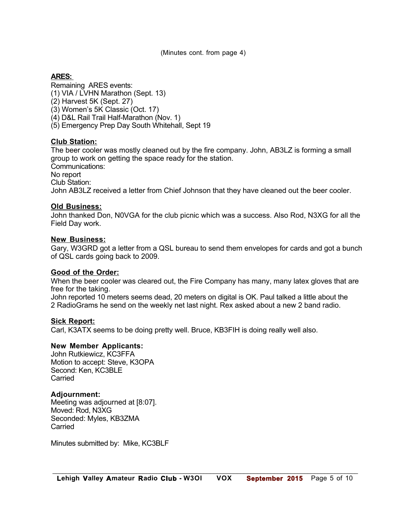(Minutes cont. from page 4)

#### **ARES:**

Remaining ARES events:

(1) VIA / LVHN Marathon (Sept. 13)

(2) Harvest 5K (Sept. 27)

(3) Women's 5K Classic (Oct. 17)

(4) D&L Rail Trail Half-Marathon (Nov. 1)

(5) Emergency Prep Day South Whitehall, Sept 19

#### **Club Station:**

The beer cooler was mostly cleaned out by the fire company. John, AB3LZ is forming a small group to work on getting the space ready for the station.

Communications:

No report

Club Station:

John AB3LZ received a letter from Chief Johnson that they have cleaned out the beer cooler.

#### **Old Business:**

John thanked Don, N0VGA for the club picnic which was a success. Also Rod, N3XG for all the Field Day work.

#### **New Business:**

Gary, W3GRD got a letter from a QSL bureau to send them envelopes for cards and got a bunch of QSL cards going back to 2009.

#### **Good of the Order:**

When the beer cooler was cleared out, the Fire Company has many, many latex gloves that are free for the taking.

John reported 10 meters seems dead, 20 meters on digital is OK. Paul talked a little about the 2 RadioGrams he send on the weekly net last night. Rex asked about a new 2 band radio.

#### **Sick Report:**

Carl, K3ATX seems to be doing pretty well. Bruce, KB3FIH is doing really well also.

#### **New Member Applicants:**

John Rutkiewicz, KC3FFA Motion to accept: Steve, K3OPA Second: Ken, KC3BLE Carried

#### **Adjournment:**

Meeting was adjourned at [8:07]. Moved: Rod, N3XG Seconded: Myles, KB3ZMA **Carried** 

Minutes submitted by: Mike, KC3BLF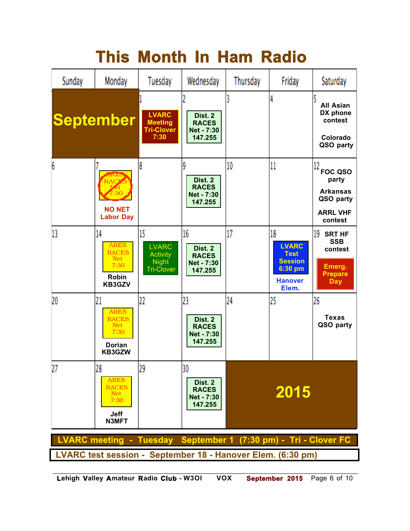# **This Month In Ham Radio**

| Sunday                                                          | Monday                                                                            | Tuesday                                                                    | Wednesday                                                     | Thursday | Friday                                                                                    | Saturday                                                                                    |
|-----------------------------------------------------------------|-----------------------------------------------------------------------------------|----------------------------------------------------------------------------|---------------------------------------------------------------|----------|-------------------------------------------------------------------------------------------|---------------------------------------------------------------------------------------------|
|                                                                 | September                                                                         | <b>LVARC</b><br><b>Meeting</b><br><b>Tri-Clover</b><br>7:30                | Dist. 2<br><b>RACES</b><br><b>Net - 7:30</b><br>147.255       |          | 4                                                                                         | <b>All Asian</b><br>DX phone<br>contest<br>Colorado<br>QSO party                            |
| 6                                                               | <b>NKL</b><br>RACZS<br>7:30<br><b>NO NET</b><br><b>Labor Day</b>                  | 8                                                                          | 9<br>Dist. 2<br><b>RACES</b><br>Net - 7:30<br>147.255         | 10       | 11                                                                                        | 12<br><b>FOC QSO</b><br>party<br><b>Arkansas</b><br>QSO party<br><b>ARRL VHF</b><br>contest |
| 13                                                              | 14<br><b>ARES</b><br><b>RACES</b><br><b>Net</b><br>7:30<br><b>Robin</b><br>KB3GZV | 15<br><b>LVARC</b><br><b>Activity</b><br><b>Night</b><br><b>Tri-Clover</b> | 16<br>Dist. 2<br><b>RACES</b><br><b>Net - 7:30</b><br>147.255 | 17       | 18<br><b>LVARC</b><br><b>Test</b><br><b>Session</b><br>6:30 pm<br><b>Hanover</b><br>Elem. | 19<br><b>SRT HF</b><br><b>SSB</b><br>contest<br>Emerg.<br><b>Prepare</b><br><b>Day</b>      |
| 20                                                              | 21<br><b>ARES</b><br><b>RACES</b><br><b>Net</b><br>7:30<br>Dorian<br>KB3GZW       | 22                                                                         | 23<br>Dist. 2<br><b>RACES</b><br>Net - 7:30<br>147.255        | 24       | 25                                                                                        | 26<br><b>Texas</b><br>QSO party                                                             |
| 27                                                              | 28<br><b>ARES</b><br><b>RACES</b><br><b>Net</b><br>7:30<br><b>Jeff</b><br>N3MFT   | 70<br>47                                                                   | 30<br>Dist. 2<br><b>RACES</b><br>Net - 7:30<br>147.255        | 2015     |                                                                                           |                                                                                             |
| LVARC meeting - Tuesday September 1 (7:30 pm) - Tri - Clover FC |                                                                                   |                                                                            |                                                               |          |                                                                                           |                                                                                             |
| LVARC test session - September 18 - Hanover Elem. (6:30 pm)     |                                                                                   |                                                                            |                                                               |          |                                                                                           |                                                                                             |

*\_\_\_\_\_\_\_\_\_\_\_\_\_\_\_\_\_\_\_\_\_\_\_\_\_\_\_\_\_\_\_\_\_\_\_\_\_\_\_\_\_\_\_\_\_\_\_\_\_\_\_\_\_\_\_\_\_\_\_\_\_\_\_\_\_\_\_\_\_\_\_\_\_\_\_\_\_\_\_\_\_\_\_\_\_\_\_\_\_\_\_*  **Lehigh Valley Amateur Radio Club - W3OI VOX September 2015** Page 6 of 10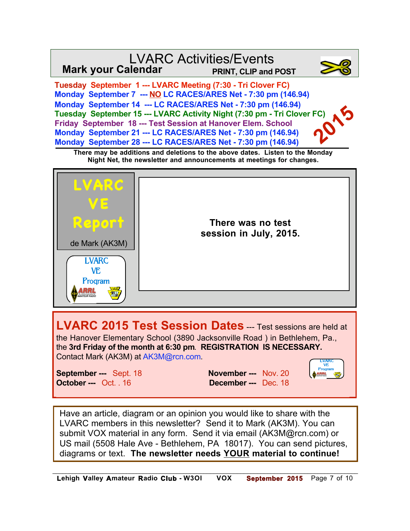#### **Tuesday September 1 --- LVARC Meeting (7:30 - Tri Clover FC) Monday September 7 --- NO LC RACES/ARES Net - 7:30 pm (146.94) Monday September 14 --- LC RACES/ARES Net - 7:30 pm (146.94) Tuesday September 15 --- LVARC Activity Night (7:30 pm - Tri Clover FC) Friday September 18 --- Test Session at Hanover Elem. School Monday September 21 --- LC RACES/ARES Net - 7:30 pm (146.94) Monday September 28 --- LC RACES/ARES Net - 7:30 pm (146.94)**  LVARC Activities/Events **Mark your Calendar PRINT, CLIP and POST 2015**

**There may be additions and deletions to the above dates. Listen to the Monday Night Net, the newsletter and announcements at meetings for changes.**



**LVARC 2015 Test Session Dates** -- Test sessions are held at the Hanover Elementary School (3890 Jacksonville Road ) in Bethlehem, Pa., the **3rd Friday of the month at 6:30 pm**. **REGISTRATION IS NECESSARY.**  Contact Mark (AK3M) at AK3M@rcn.com.

**September ---** Sept. 18 **November ---** Nov. 20 **October ---** Oct. . 16 **December ---** Dec. 18



Have an article, diagram or an opinion you would like to share with the LVARC members in this newsletter? Send it to Mark (AK3M). You can submit VOX material in any form. Send it via email (AK3M@rcn.com) or US mail (5508 Hale Ave - Bethlehem, PA 18017). You can send pictures, diagrams or text. **The newsletter needs YOUR material to continue!**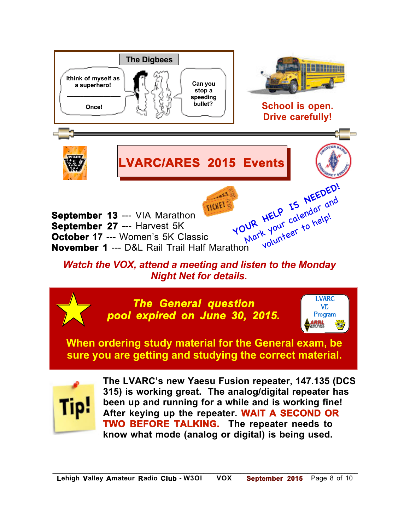

**TWO BEFORE TALKING. The repeater needs to know what mode (analog or digital) is being used.**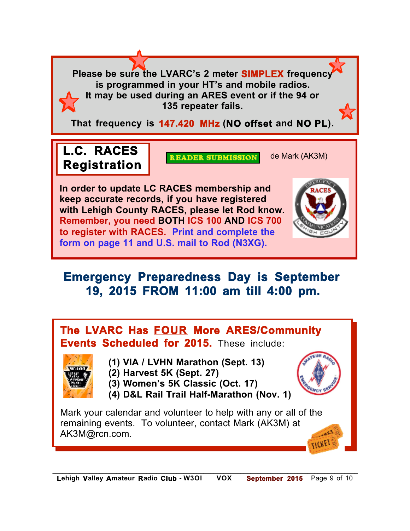**Please be sure the LVARC's 2 meter SIMPLEX frequency is programmed in your HT's and mobile radios. It may be used during an ARES event or if the 94 or 135 repeater fails.**

**That frequency is 147.420 MHz (NO offset and NO PL).**

## L.C. RACES **READER SUBMISSION** de Mark (AK3M) **Registration**

**In order to update LC RACES membership and keep accurate records, if you have registered with Lehigh County RACES, please let Rod know. Remember, you need BOTH ICS 100 AND ICS 700 to register with RACES. Print and complete the form on page 11 and U.S. mail to Rod (N3XG).**

## **Emergency Preparedness Day is September 19, 2015 FROM 11:00 am till 4:00 pm.**

## **The LVARC Has FOUR More ARES/Community Events Scheduled for 2015.** These include:



- **(1) VIA / LVHN Marathon (Sept. 13)**
- **N0KIA (2) Harvest 5K (Sept. 27)**
- **(3) Women's 5K Classic (Oct. 17)**
- **(4) D&L Rail Trail Half-Marathon (Nov. 1)**

Mark your calendar and volunteer to help with any or all of the remaining events. To volunteer, contact Mark (AK3M) at AK3M@rcn.com.